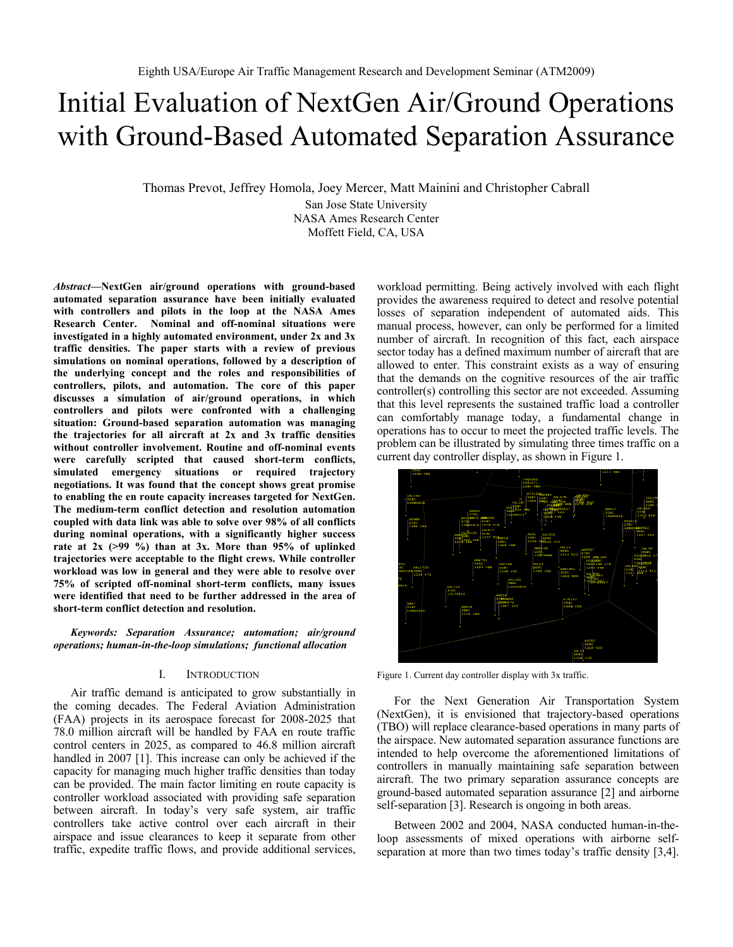# Initial Evaluation of NextGen Air/Ground Operations with Ground-Based Automated Separation Assurance

Thomas Prevot, Jeffrey Homola, Joey Mercer, Matt Mainini and Christopher Cabrall

San Jose State University NASA Ames Research Center Moffett Field, CA, USA

*Abstract***—NextGen air/ground operations with ground-based automated separation assurance have been initially evaluated with controllers and pilots in the loop at the NASA Ames Research Center. Nominal and off-nominal situations were investigated in a highly automated environment, under 2x and 3x traffic densities. The paper starts with a review of previous simulations on nominal operations, followed by a description of the underlying concept and the roles and responsibilities of controllers, pilots, and automation. The core of this paper discusses a simulation of air/ground operations, in which controllers and pilots were confronted with a challenging situation: Ground-based separation automation was managing the trajectories for all aircraft at 2x and 3x traffic densities without controller involvement. Routine and off-nominal events were carefully scripted that caused short-term conflicts, simulated emergency situations or required trajectory negotiations. It was found that the concept shows great promise to enabling the en route capacity increases targeted for NextGen. The medium-term conflict detection and resolution automation coupled with data link was able to solve over 98% of all conflicts during nominal operations, with a significantly higher success rate at 2x (>99 %) than at 3x. More than 95% of uplinked trajectories were acceptable to the flight crews. While controller workload was low in general and they were able to resolve over 75% of scripted off-nominal short-term conflicts, many issues were identified that need to be further addressed in the area of short-term conflict detection and resolution.** 

*Keywords: Separation Assurance; automation; air/ground operations; human-in-the-loop simulations; functional allocation* 

### I. INTRODUCTION

Air traffic demand is anticipated to grow substantially in the coming decades. The Federal Aviation Administration (FAA) projects in its aerospace forecast for 2008-2025 that 78.0 million aircraft will be handled by FAA en route traffic control centers in 2025, as compared to 46.8 million aircraft handled in 2007 [1]. This increase can only be achieved if the capacity for managing much higher traffic densities than today can be provided. The main factor limiting en route capacity is controller workload associated with providing safe separation between aircraft. In today's very safe system, air traffic controllers take active control over each aircraft in their airspace and issue clearances to keep it separate from other traffic, expedite traffic flows, and provide additional services, workload permitting. Being actively involved with each flight provides the awareness required to detect and resolve potential losses of separation independent of automated aids. This manual process, however, can only be performed for a limited number of aircraft. In recognition of this fact, each airspace sector today has a defined maximum number of aircraft that are allowed to enter. This constraint exists as a way of ensuring that the demands on the cognitive resources of the air traffic controller(s) controlling this sector are not exceeded. Assuming that this level represents the sustained traffic load a controller can comfortably manage today, a fundamental change in operations has to occur to meet the projected traffic levels. The problem can be illustrated by simulating three times traffic on a current day controller display, as shown in Figure 1.



Figure 1. Current day controller display with 3x traffic.

For the Next Generation Air Transportation System (NextGen), it is envisioned that trajectory-based operations (TBO) will replace clearance-based operations in many parts of the airspace. New automated separation assurance functions are intended to help overcome the aforementioned limitations of controllers in manually maintaining safe separation between aircraft. The two primary separation assurance concepts are ground-based automated separation assurance [2] and airborne self-separation [3]. Research is ongoing in both areas.

Between 2002 and 2004, NASA conducted human-in-theloop assessments of mixed operations with airborne selfseparation at more than two times today's traffic density [3,4].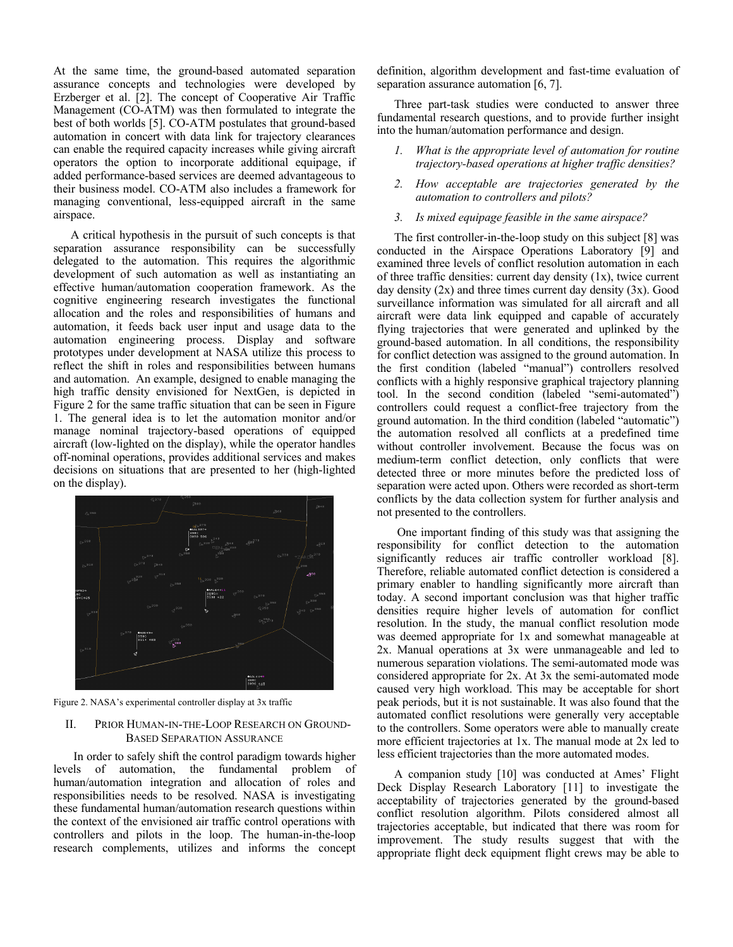At the same time, the ground-based automated separation assurance concepts and technologies were developed by Erzberger et al. [2]. The concept of Cooperative Air Traffic Management (CO-ATM) was then formulated to integrate the best of both worlds [5]. CO-ATM postulates that ground-based automation in concert with data link for trajectory clearances can enable the required capacity increases while giving aircraft operators the option to incorporate additional equipage, if added performance-based services are deemed advantageous to their business model. CO-ATM also includes a framework for managing conventional, less-equipped aircraft in the same airspace.

A critical hypothesis in the pursuit of such concepts is that separation assurance responsibility can be successfully delegated to the automation. This requires the algorithmic development of such automation as well as instantiating an effective human/automation cooperation framework. As the cognitive engineering research investigates the functional allocation and the roles and responsibilities of humans and automation, it feeds back user input and usage data to the automation engineering process. Display and software prototypes under development at NASA utilize this process to reflect the shift in roles and responsibilities between humans and automation. An example, designed to enable managing the high traffic density envisioned for NextGen, is depicted in Figure 2 for the same traffic situation that can be seen in Figure 1. The general idea is to let the automation monitor and/or manage nominal trajectory-based operations of equipped aircraft (low-lighted on the display), while the operator handles off-nominal operations, provides additional services and makes decisions on situations that are presented to her (high-lighted on the display).



Figure 2. NASA's experimental controller display at 3x traffic

# II. PRIOR HUMAN-IN-THE-LOOP RESEARCH ON GROUND-BASED SEPARATION ASSURANCE

 In order to safely shift the control paradigm towards higher levels of automation, the fundamental problem of human/automation integration and allocation of roles and responsibilities needs to be resolved. NASA is investigating these fundamental human/automation research questions within the context of the envisioned air traffic control operations with controllers and pilots in the loop. The human-in-the-loop research complements, utilizes and informs the concept definition, algorithm development and fast-time evaluation of separation assurance automation [6, 7].

Three part-task studies were conducted to answer three fundamental research questions, and to provide further insight into the human/automation performance and design.

- *1. What is the appropriate level of automation for routine trajectory-based operations at higher traffic densities?*
- *2. How acceptable are trajectories generated by the automation to controllers and pilots?*
- *3. Is mixed equipage feasible in the same airspace?*

The first controller-in-the-loop study on this subject [8] was conducted in the Airspace Operations Laboratory [9] and examined three levels of conflict resolution automation in each of three traffic densities: current day density (1x), twice current day density  $(2x)$  and three times current day density  $(3x)$ . Good surveillance information was simulated for all aircraft and all aircraft were data link equipped and capable of accurately flying trajectories that were generated and uplinked by the ground-based automation. In all conditions, the responsibility for conflict detection was assigned to the ground automation. In the first condition (labeled "manual") controllers resolved conflicts with a highly responsive graphical trajectory planning tool. In the second condition (labeled "semi-automated") controllers could request a conflict-free trajectory from the ground automation. In the third condition (labeled "automatic") the automation resolved all conflicts at a predefined time without controller involvement. Because the focus was on medium-term conflict detection, only conflicts that were detected three or more minutes before the predicted loss of separation were acted upon. Others were recorded as short-term conflicts by the data collection system for further analysis and not presented to the controllers.

 One important finding of this study was that assigning the responsibility for conflict detection to the automation significantly reduces air traffic controller workload [8]. Therefore, reliable automated conflict detection is considered a primary enabler to handling significantly more aircraft than today. A second important conclusion was that higher traffic densities require higher levels of automation for conflict resolution. In the study, the manual conflict resolution mode was deemed appropriate for 1x and somewhat manageable at 2x. Manual operations at 3x were unmanageable and led to numerous separation violations. The semi-automated mode was considered appropriate for 2x. At 3x the semi-automated mode caused very high workload. This may be acceptable for short peak periods, but it is not sustainable. It was also found that the automated conflict resolutions were generally very acceptable to the controllers. Some operators were able to manually create more efficient trajectories at 1x. The manual mode at 2x led to less efficient trajectories than the more automated modes.

A companion study [10] was conducted at Ames' Flight Deck Display Research Laboratory [11] to investigate the acceptability of trajectories generated by the ground-based conflict resolution algorithm. Pilots considered almost all trajectories acceptable, but indicated that there was room for improvement. The study results suggest that with the appropriate flight deck equipment flight crews may be able to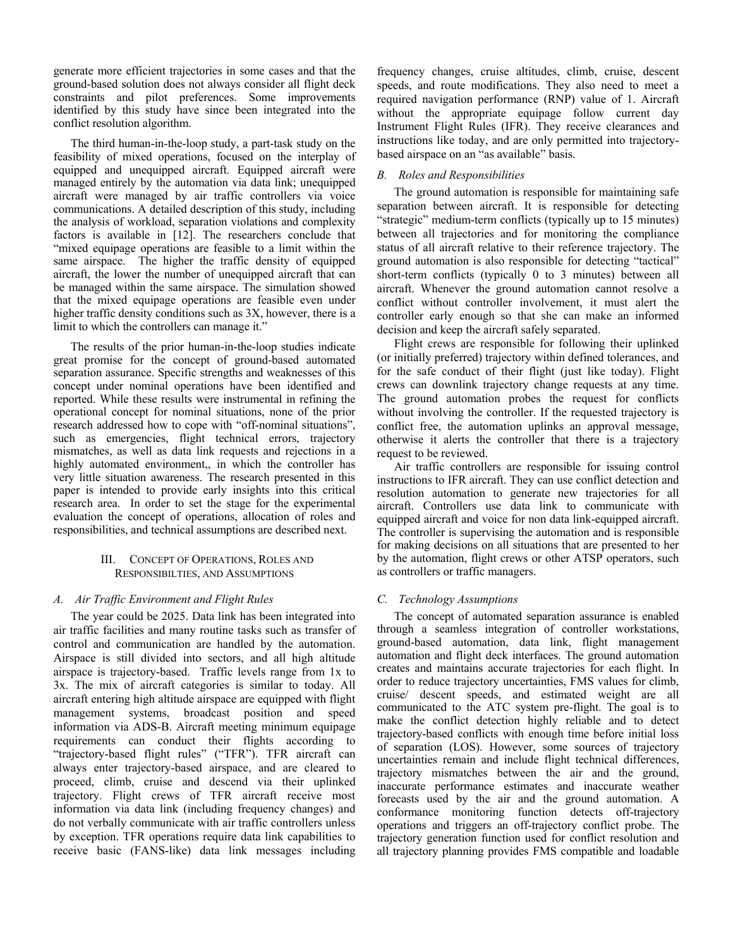generate more efficient trajectories in some cases and that the ground-based solution does not always consider all flight deck constraints and pilot preferences. Some improvements identified by this study have since been integrated into the conflict resolution algorithm.

The third human-in-the-loop study, a part-task study on the feasibility of mixed operations, focused on the interplay of equipped and unequipped aircraft. Equipped aircraft were managed entirely by the automation via data link; unequipped aircraft were managed by air traffic controllers via voice communications. A detailed description of this study, including the analysis of workload, separation violations and complexity factors is available in [12]. The researchers conclude that "mixed equipage operations are feasible to a limit within the same airspace. The higher the traffic density of equipped aircraft, the lower the number of unequipped aircraft that can be managed within the same airspace. The simulation showed that the mixed equipage operations are feasible even under higher traffic density conditions such as 3X, however, there is a limit to which the controllers can manage it."

The results of the prior human-in-the-loop studies indicate great promise for the concept of ground-based automated separation assurance. Specific strengths and weaknesses of this concept under nominal operations have been identified and reported. While these results were instrumental in refining the operational concept for nominal situations, none of the prior research addressed how to cope with "off-nominal situations", such as emergencies, flight technical errors, trajectory mismatches, as well as data link requests and rejections in a highly automated environment, in which the controller has very little situation awareness. The research presented in this paper is intended to provide early insights into this critical research area. In order to set the stage for the experimental evaluation the concept of operations, allocation of roles and responsibilities, and technical assumptions are described next.

## III. CONCEPT OF OPERATIONS, ROLES AND RESPONSIBILTIES, AND ASSUMPTIONS

# *A. Air Traffic Environment and Flight Rules*

The year could be 2025. Data link has been integrated into air traffic facilities and many routine tasks such as transfer of control and communication are handled by the automation. Airspace is still divided into sectors, and all high altitude airspace is trajectory-based. Traffic levels range from 1x to 3x. The mix of aircraft categories is similar to today. All aircraft entering high altitude airspace are equipped with flight management systems, broadcast position and speed information via ADS-B. Aircraft meeting minimum equipage requirements can conduct their flights according to "trajectory-based flight rules" ("TFR"). TFR aircraft can always enter trajectory-based airspace, and are cleared to proceed, climb, cruise and descend via their uplinked trajectory. Flight crews of TFR aircraft receive most information via data link (including frequency changes) and do not verbally communicate with air traffic controllers unless by exception. TFR operations require data link capabilities to receive basic (FANS-like) data link messages including frequency changes, cruise altitudes, climb, cruise, descent speeds, and route modifications. They also need to meet a required navigation performance (RNP) value of 1. Aircraft without the appropriate equipage follow current day Instrument Flight Rules (IFR). They receive clearances and instructions like today, and are only permitted into trajectorybased airspace on an "as available" basis.

# *B. Roles and Responsibilities*

The ground automation is responsible for maintaining safe separation between aircraft. It is responsible for detecting "strategic" medium-term conflicts (typically up to 15 minutes) between all trajectories and for monitoring the compliance status of all aircraft relative to their reference trajectory. The ground automation is also responsible for detecting "tactical" short-term conflicts (typically 0 to 3 minutes) between all aircraft. Whenever the ground automation cannot resolve a conflict without controller involvement, it must alert the controller early enough so that she can make an informed decision and keep the aircraft safely separated.

Flight crews are responsible for following their uplinked (or initially preferred) trajectory within defined tolerances, and for the safe conduct of their flight (just like today). Flight crews can downlink trajectory change requests at any time. The ground automation probes the request for conflicts without involving the controller. If the requested trajectory is conflict free, the automation uplinks an approval message, otherwise it alerts the controller that there is a trajectory request to be reviewed.

Air traffic controllers are responsible for issuing control instructions to IFR aircraft. They can use conflict detection and resolution automation to generate new trajectories for all aircraft. Controllers use data link to communicate with equipped aircraft and voice for non data link-equipped aircraft. The controller is supervising the automation and is responsible for making decisions on all situations that are presented to her by the automation, flight crews or other ATSP operators, such as controllers or traffic managers.

# *C. Technology Assumptions*

The concept of automated separation assurance is enabled through a seamless integration of controller workstations, ground-based automation, data link, flight management automation and flight deck interfaces. The ground automation creates and maintains accurate trajectories for each flight. In order to reduce trajectory uncertainties, FMS values for climb, cruise/ descent speeds, and estimated weight are all communicated to the ATC system pre-flight. The goal is to make the conflict detection highly reliable and to detect trajectory-based conflicts with enough time before initial loss of separation (LOS). However, some sources of trajectory uncertainties remain and include flight technical differences, trajectory mismatches between the air and the ground, inaccurate performance estimates and inaccurate weather forecasts used by the air and the ground automation. A conformance monitoring function detects off-trajectory operations and triggers an off-trajectory conflict probe. The trajectory generation function used for conflict resolution and all trajectory planning provides FMS compatible and loadable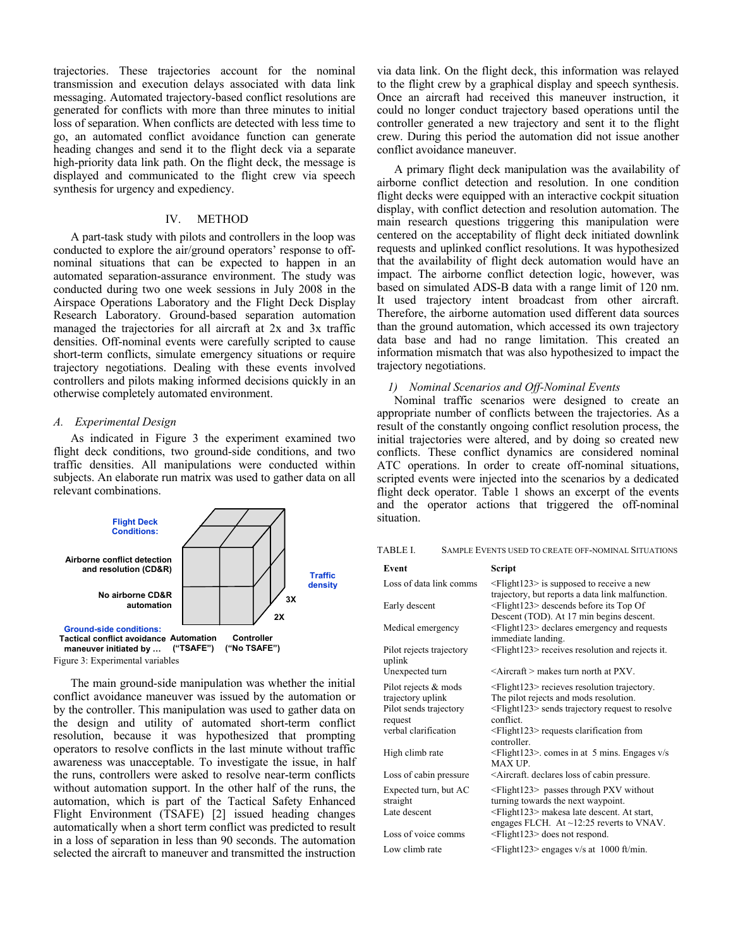trajectories. These trajectories account for the nominal transmission and execution delays associated with data link messaging. Automated trajectory-based conflict resolutions are generated for conflicts with more than three minutes to initial loss of separation. When conflicts are detected with less time to go, an automated conflict avoidance function can generate heading changes and send it to the flight deck via a separate high-priority data link path. On the flight deck, the message is displayed and communicated to the flight crew via speech synthesis for urgency and expediency.

## IV. METHOD

A part-task study with pilots and controllers in the loop was conducted to explore the air/ground operators' response to offnominal situations that can be expected to happen in an automated separation-assurance environment. The study was conducted during two one week sessions in July 2008 in the Airspace Operations Laboratory and the Flight Deck Display Research Laboratory. Ground-based separation automation managed the trajectories for all aircraft at 2x and 3x traffic densities. Off-nominal events were carefully scripted to cause short-term conflicts, simulate emergency situations or require trajectory negotiations. Dealing with these events involved controllers and pilots making informed decisions quickly in an otherwise completely automated environment.

#### *A. Experimental Design*

As indicated in Figure 3 the experiment examined two flight deck conditions, two ground-side conditions, and two traffic densities. All manipulations were conducted within subjects. An elaborate run matrix was used to gather data on all relevant combinations.



The main ground-side manipulation was whether the initial conflict avoidance maneuver was issued by the automation or by the controller. This manipulation was used to gather data on the design and utility of automated short-term conflict resolution, because it was hypothesized that prompting operators to resolve conflicts in the last minute without traffic awareness was unacceptable. To investigate the issue, in half the runs, controllers were asked to resolve near-term conflicts without automation support. In the other half of the runs, the automation, which is part of the Tactical Safety Enhanced Flight Environment (TSAFE) [2] issued heading changes automatically when a short term conflict was predicted to result in a loss of separation in less than 90 seconds. The automation selected the aircraft to maneuver and transmitted the instruction

via data link. On the flight deck, this information was relayed to the flight crew by a graphical display and speech synthesis. Once an aircraft had received this maneuver instruction, it could no longer conduct trajectory based operations until the controller generated a new trajectory and sent it to the flight crew. During this period the automation did not issue another conflict avoidance maneuver.

A primary flight deck manipulation was the availability of airborne conflict detection and resolution. In one condition flight decks were equipped with an interactive cockpit situation display, with conflict detection and resolution automation. The main research questions triggering this manipulation were centered on the acceptability of flight deck initiated downlink requests and uplinked conflict resolutions. It was hypothesized that the availability of flight deck automation would have an impact. The airborne conflict detection logic, however, was based on simulated ADS-B data with a range limit of 120 nm. It used trajectory intent broadcast from other aircraft. Therefore, the airborne automation used different data sources than the ground automation, which accessed its own trajectory data base and had no range limitation. This created an information mismatch that was also hypothesized to impact the trajectory negotiations.

### *1) Nominal Scenarios and Off-Nominal Events*

Nominal traffic scenarios were designed to create an appropriate number of conflicts between the trajectories. As a result of the constantly ongoing conflict resolution process, the initial trajectories were altered, and by doing so created new conflicts. These conflict dynamics are considered nominal ATC operations. In order to create off-nominal situations, scripted events were injected into the scenarios by a dedicated flight deck operator. Table 1 shows an excerpt of the events and the operator actions that triggered the off-nominal situation.

TABLE I. SAMPLE EVENTS USED TO CREATE OFF-NOMINAL SITUATIONS

| Event                                                                                                                     | Script                                                                                                                                                                                                                                                                                                                             |
|---------------------------------------------------------------------------------------------------------------------------|------------------------------------------------------------------------------------------------------------------------------------------------------------------------------------------------------------------------------------------------------------------------------------------------------------------------------------|
| Loss of data link comms                                                                                                   | $\leq$ Flight123> is supposed to receive a new<br>trajectory, but reports a data link malfunction.                                                                                                                                                                                                                                 |
| Early descent                                                                                                             | $\leq$ Flight123> descends before its Top Of<br>Descent (TOD). At 17 min begins descent.                                                                                                                                                                                                                                           |
| Medical emergency                                                                                                         | <flight123> declares emergency and requests<br/>immediate landing.</flight123>                                                                                                                                                                                                                                                     |
| Pilot rejects trajectory<br>uplink                                                                                        | <flight123> receives resolution and rejects it.</flight123>                                                                                                                                                                                                                                                                        |
| Unexpected turn                                                                                                           | $\leq$ Aircraft $>$ makes turn north at PXV.                                                                                                                                                                                                                                                                                       |
| Pilot rejects & mods<br>trajectory uplink<br>Pilot sends trajectory<br>request<br>verbal clarification<br>High climb rate | <flight123> recieves resolution trajectory.<br/>The pilot rejects and mods resolution.<br/><flight123> sends trajectory request to resolve<br/>conflict.<br/><math>\leq</math>Flight123&gt; requests clarification from<br/>controller<br/><math>\leq</math>Flight123&gt;. comes in at 5 mins. Engages v/s</flight123></flight123> |
| Loss of cabin pressure                                                                                                    | <b>MAX UP.</b><br><aircraft. cabin="" declares="" loss="" of="" pressure.<="" td=""></aircraft.>                                                                                                                                                                                                                                   |
| Expected turn, but AC<br>straight<br>Late descent<br>Loss of voice comms                                                  | $\leq$ Flight123> passes through PXV without<br>turning towards the next waypoint.<br><flight123> makesa late descent. At start,<br/>engages FLCH. At <math>\sim</math>12:25 reverts to VNAV.<br/><flight123> does not respond.</flight123></flight123>                                                                            |
| Low climb rate                                                                                                            | $\leq$ Flight123> engages v/s at 1000 ft/min.                                                                                                                                                                                                                                                                                      |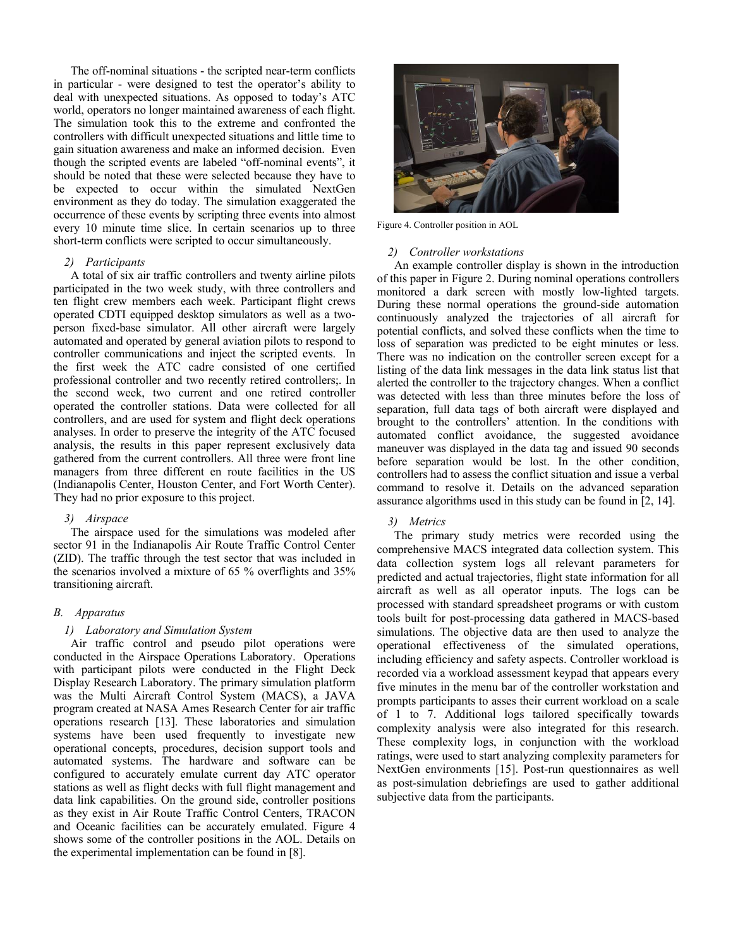The off-nominal situations - the scripted near-term conflicts in particular - were designed to test the operator's ability to deal with unexpected situations. As opposed to today's ATC world, operators no longer maintained awareness of each flight. The simulation took this to the extreme and confronted the controllers with difficult unexpected situations and little time to gain situation awareness and make an informed decision. Even though the scripted events are labeled "off-nominal events", it should be noted that these were selected because they have to be expected to occur within the simulated NextGen environment as they do today. The simulation exaggerated the occurrence of these events by scripting three events into almost every 10 minute time slice. In certain scenarios up to three short-term conflicts were scripted to occur simultaneously.

# *2) Participants*

A total of six air traffic controllers and twenty airline pilots participated in the two week study, with three controllers and ten flight crew members each week. Participant flight crews operated CDTI equipped desktop simulators as well as a twoperson fixed-base simulator. All other aircraft were largely automated and operated by general aviation pilots to respond to controller communications and inject the scripted events. In the first week the ATC cadre consisted of one certified professional controller and two recently retired controllers;. In the second week, two current and one retired controller operated the controller stations. Data were collected for all controllers, and are used for system and flight deck operations analyses. In order to preserve the integrity of the ATC focused analysis, the results in this paper represent exclusively data gathered from the current controllers. All three were front line managers from three different en route facilities in the US (Indianapolis Center, Houston Center, and Fort Worth Center). They had no prior exposure to this project.

# *3) Airspace*

The airspace used for the simulations was modeled after sector 91 in the Indianapolis Air Route Traffic Control Center (ZID). The traffic through the test sector that was included in the scenarios involved a mixture of 65 % overflights and 35% transitioning aircraft.

# *B. Apparatus*

# *1) Laboratory and Simulation System*

Air traffic control and pseudo pilot operations were conducted in the Airspace Operations Laboratory. Operations with participant pilots were conducted in the Flight Deck Display Research Laboratory. The primary simulation platform was the Multi Aircraft Control System (MACS), a JAVA program created at NASA Ames Research Center for air traffic operations research [13]. These laboratories and simulation systems have been used frequently to investigate new operational concepts, procedures, decision support tools and automated systems. The hardware and software can be configured to accurately emulate current day ATC operator stations as well as flight decks with full flight management and data link capabilities. On the ground side, controller positions as they exist in Air Route Traffic Control Centers, TRACON and Oceanic facilities can be accurately emulated. Figure 4 shows some of the controller positions in the AOL. Details on the experimental implementation can be found in [8].



Figure 4. Controller position in AOL

#### *2) Controller workstations*

An example controller display is shown in the introduction of this paper in Figure 2. During nominal operations controllers monitored a dark screen with mostly low-lighted targets. During these normal operations the ground-side automation continuously analyzed the trajectories of all aircraft for potential conflicts, and solved these conflicts when the time to loss of separation was predicted to be eight minutes or less. There was no indication on the controller screen except for a listing of the data link messages in the data link status list that alerted the controller to the trajectory changes. When a conflict was detected with less than three minutes before the loss of separation, full data tags of both aircraft were displayed and brought to the controllers' attention. In the conditions with automated conflict avoidance, the suggested avoidance maneuver was displayed in the data tag and issued 90 seconds before separation would be lost. In the other condition, controllers had to assess the conflict situation and issue a verbal command to resolve it. Details on the advanced separation assurance algorithms used in this study can be found in [2, 14].

#### *3) Metrics*

The primary study metrics were recorded using the comprehensive MACS integrated data collection system. This data collection system logs all relevant parameters for predicted and actual trajectories, flight state information for all aircraft as well as all operator inputs. The logs can be processed with standard spreadsheet programs or with custom tools built for post-processing data gathered in MACS-based simulations. The objective data are then used to analyze the operational effectiveness of the simulated operations, including efficiency and safety aspects. Controller workload is recorded via a workload assessment keypad that appears every five minutes in the menu bar of the controller workstation and prompts participants to asses their current workload on a scale of 1 to 7. Additional logs tailored specifically towards complexity analysis were also integrated for this research. These complexity logs, in conjunction with the workload ratings, were used to start analyzing complexity parameters for NextGen environments [15]. Post-run questionnaires as well as post-simulation debriefings are used to gather additional subjective data from the participants.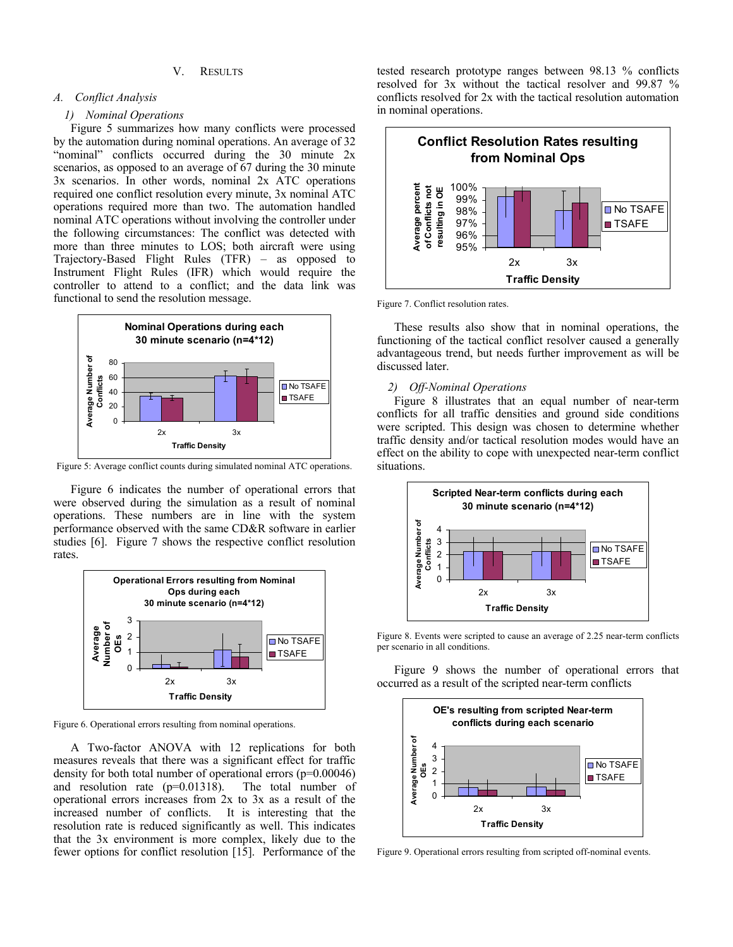# V. RESULTS

## *A. Conflict Analysis*

# *1) Nominal Operations*

Figure 5 summarizes how many conflicts were processed by the automation during nominal operations. An average of 32 "nominal" conflicts occurred during the  $30$  minute  $2x$ scenarios, as opposed to an average of 67 during the 30 minute 3x scenarios. In other words, nominal 2x ATC operations required one conflict resolution every minute, 3x nominal ATC operations required more than two. The automation handled nominal ATC operations without involving the controller under the following circumstances: The conflict was detected with more than three minutes to LOS; both aircraft were using Trajectory-Based Flight Rules (TFR) – as opposed to Instrument Flight Rules (IFR) which would require the controller to attend to a conflict; and the data link was functional to send the resolution message.



Figure 5: Average conflict counts during simulated nominal ATC operations.

Figure 6 indicates the number of operational errors that were observed during the simulation as a result of nominal operations. These numbers are in line with the system performance observed with the same CD&R software in earlier studies [6]. Figure 7 shows the respective conflict resolution rates.



Figure 6. Operational errors resulting from nominal operations.

A Two-factor ANOVA with 12 replications for both measures reveals that there was a significant effect for traffic density for both total number of operational errors (p=0.00046) and resolution rate (p=0.01318). The total number of operational errors increases from 2x to 3x as a result of the increased number of conflicts. It is interesting that the resolution rate is reduced significantly as well. This indicates that the 3x environment is more complex, likely due to the fewer options for conflict resolution [15]. Performance of the

tested research prototype ranges between 98.13 % conflicts resolved for 3x without the tactical resolver and 99.87 % conflicts resolved for 2x with the tactical resolution automation in nominal operations.



Figure 7. Conflict resolution rates.

These results also show that in nominal operations, the functioning of the tactical conflict resolver caused a generally advantageous trend, but needs further improvement as will be discussed later.

#### *2) Off-Nominal Operations*

Figure 8 illustrates that an equal number of near-term conflicts for all traffic densities and ground side conditions were scripted. This design was chosen to determine whether traffic density and/or tactical resolution modes would have an effect on the ability to cope with unexpected near-term conflict situations.



Figure 8. Events were scripted to cause an average of 2.25 near-term conflicts per scenario in all conditions.

Figure 9 shows the number of operational errors that occurred as a result of the scripted near-term conflicts



Figure 9. Operational errors resulting from scripted off-nominal events.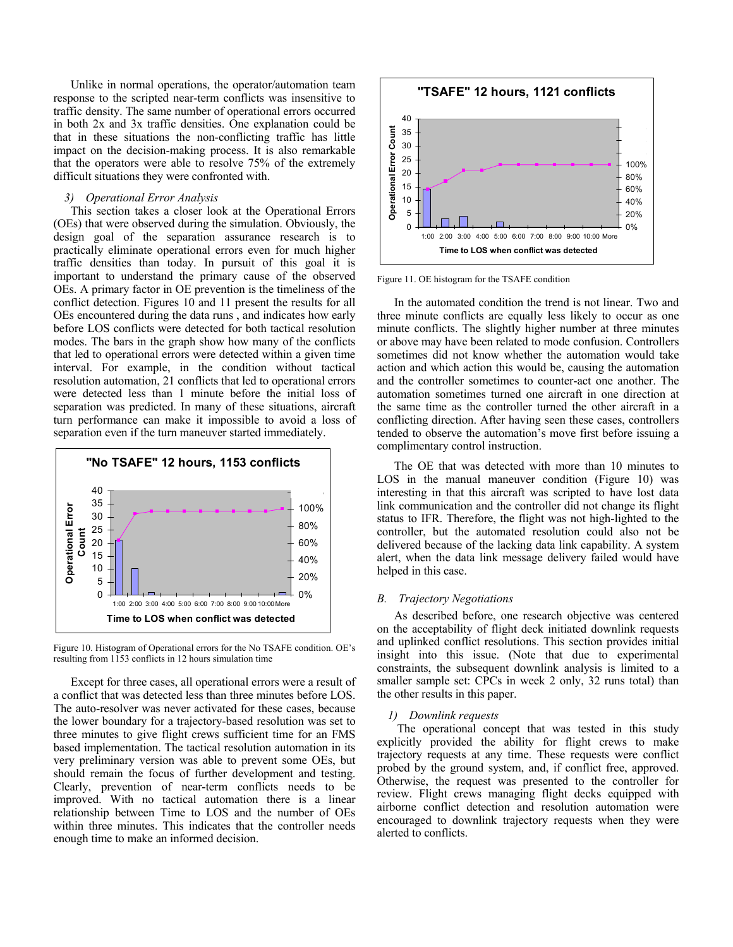Unlike in normal operations, the operator/automation team response to the scripted near-term conflicts was insensitive to traffic density. The same number of operational errors occurred in both 2x and 3x traffic densities. One explanation could be that in these situations the non-conflicting traffic has little impact on the decision-making process. It is also remarkable that the operators were able to resolve 75% of the extremely difficult situations they were confronted with.

#### *3) Operational Error Analysis*

This section takes a closer look at the Operational Errors (OEs) that were observed during the simulation. Obviously, the design goal of the separation assurance research is to practically eliminate operational errors even for much higher traffic densities than today. In pursuit of this goal it is important to understand the primary cause of the observed OEs. A primary factor in OE prevention is the timeliness of the conflict detection. Figures 10 and 11 present the results for all OEs encountered during the data runs , and indicates how early before LOS conflicts were detected for both tactical resolution modes. The bars in the graph show how many of the conflicts that led to operational errors were detected within a given time interval. For example, in the condition without tactical resolution automation, 21 conflicts that led to operational errors were detected less than 1 minute before the initial loss of separation was predicted. In many of these situations, aircraft turn performance can make it impossible to avoid a loss of separation even if the turn maneuver started immediately.





Except for three cases, all operational errors were a result of a conflict that was detected less than three minutes before LOS. The auto-resolver was never activated for these cases, because the lower boundary for a trajectory-based resolution was set to three minutes to give flight crews sufficient time for an FMS based implementation. The tactical resolution automation in its very preliminary version was able to prevent some OEs, but should remain the focus of further development and testing. Clearly, prevention of near-term conflicts needs to be improved. With no tactical automation there is a linear relationship between Time to LOS and the number of OEs within three minutes. This indicates that the controller needs enough time to make an informed decision.



Figure 11. OE histogram for the TSAFE condition

In the automated condition the trend is not linear. Two and three minute conflicts are equally less likely to occur as one minute conflicts. The slightly higher number at three minutes or above may have been related to mode confusion. Controllers sometimes did not know whether the automation would take action and which action this would be, causing the automation and the controller sometimes to counter-act one another. The automation sometimes turned one aircraft in one direction at the same time as the controller turned the other aircraft in a conflicting direction. After having seen these cases, controllers tended to observe the automation's move first before issuing a complimentary control instruction.

The OE that was detected with more than 10 minutes to LOS in the manual maneuver condition (Figure 10) was interesting in that this aircraft was scripted to have lost data link communication and the controller did not change its flight status to IFR. Therefore, the flight was not high-lighted to the controller, but the automated resolution could also not be delivered because of the lacking data link capability. A system alert, when the data link message delivery failed would have helped in this case.

#### *B. Trajectory Negotiations*

As described before, one research objective was centered on the acceptability of flight deck initiated downlink requests and uplinked conflict resolutions. This section provides initial insight into this issue. (Note that due to experimental constraints, the subsequent downlink analysis is limited to a smaller sample set: CPCs in week 2 only, 32 runs total) than the other results in this paper.

## *1) Downlink requests*

 The operational concept that was tested in this study explicitly provided the ability for flight crews to make trajectory requests at any time. These requests were conflict probed by the ground system, and, if conflict free, approved. Otherwise, the request was presented to the controller for review. Flight crews managing flight decks equipped with airborne conflict detection and resolution automation were encouraged to downlink trajectory requests when they were alerted to conflicts.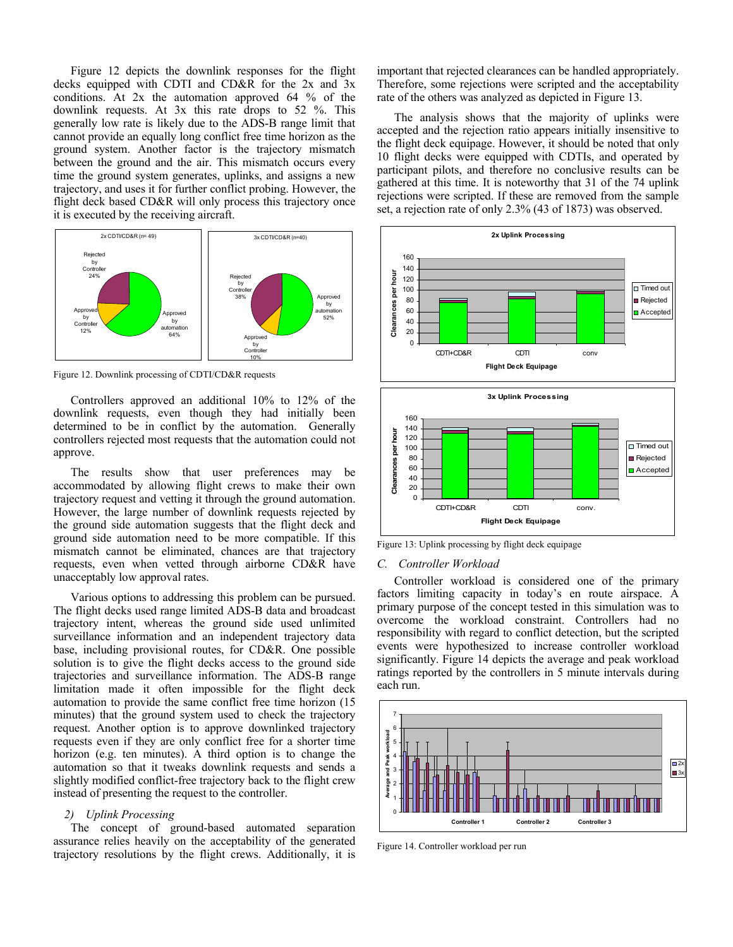Figure 12 depicts the downlink responses for the flight decks equipped with CDTI and CD&R for the 2x and 3x conditions. At 2x the automation approved 64 % of the downlink requests. At 3x this rate drops to 52 %. This generally low rate is likely due to the ADS-B range limit that cannot provide an equally long conflict free time horizon as the ground system. Another factor is the trajectory mismatch between the ground and the air. This mismatch occurs every time the ground system generates, uplinks, and assigns a new trajectory, and uses it for further conflict probing. However, the flight deck based CD&R will only process this trajectory once it is executed by the receiving aircraft.



Figure 12. Downlink processing of CDTI/CD&R requests

Controllers approved an additional 10% to 12% of the downlink requests, even though they had initially been determined to be in conflict by the automation. Generally controllers rejected most requests that the automation could not approve.

The results show that user preferences may be accommodated by allowing flight crews to make their own trajectory request and vetting it through the ground automation. However, the large number of downlink requests rejected by the ground side automation suggests that the flight deck and ground side automation need to be more compatible. If this mismatch cannot be eliminated, chances are that trajectory requests, even when vetted through airborne CD&R have unacceptably low approval rates.

Various options to addressing this problem can be pursued. The flight decks used range limited ADS-B data and broadcast trajectory intent, whereas the ground side used unlimited surveillance information and an independent trajectory data base, including provisional routes, for CD&R. One possible solution is to give the flight decks access to the ground side trajectories and surveillance information. The ADS-B range limitation made it often impossible for the flight deck automation to provide the same conflict free time horizon (15 minutes) that the ground system used to check the trajectory request. Another option is to approve downlinked trajectory requests even if they are only conflict free for a shorter time horizon (e.g. ten minutes). A third option is to change the automation so that it tweaks downlink requests and sends a slightly modified conflict-free trajectory back to the flight crew instead of presenting the request to the controller.

# *2) Uplink Processing*

The concept of ground-based automated separation assurance relies heavily on the acceptability of the generated trajectory resolutions by the flight crews. Additionally, it is important that rejected clearances can be handled appropriately. Therefore, some rejections were scripted and the acceptability rate of the others was analyzed as depicted in Figure 13.

The analysis shows that the majority of uplinks were accepted and the rejection ratio appears initially insensitive to the flight deck equipage. However, it should be noted that only 10 flight decks were equipped with CDTIs, and operated by participant pilots, and therefore no conclusive results can be gathered at this time. It is noteworthy that 31 of the 74 uplink rejections were scripted. If these are removed from the sample set, a rejection rate of only 2.3% (43 of 1873) was observed.



Figure 13: Uplink processing by flight deck equipage

#### *C. Controller Workload*

Controller workload is considered one of the primary factors limiting capacity in today's en route airspace. A primary purpose of the concept tested in this simulation was to overcome the workload constraint. Controllers had no responsibility with regard to conflict detection, but the scripted events were hypothesized to increase controller workload significantly. Figure 14 depicts the average and peak workload ratings reported by the controllers in 5 minute intervals during each run.



Figure 14. Controller workload per run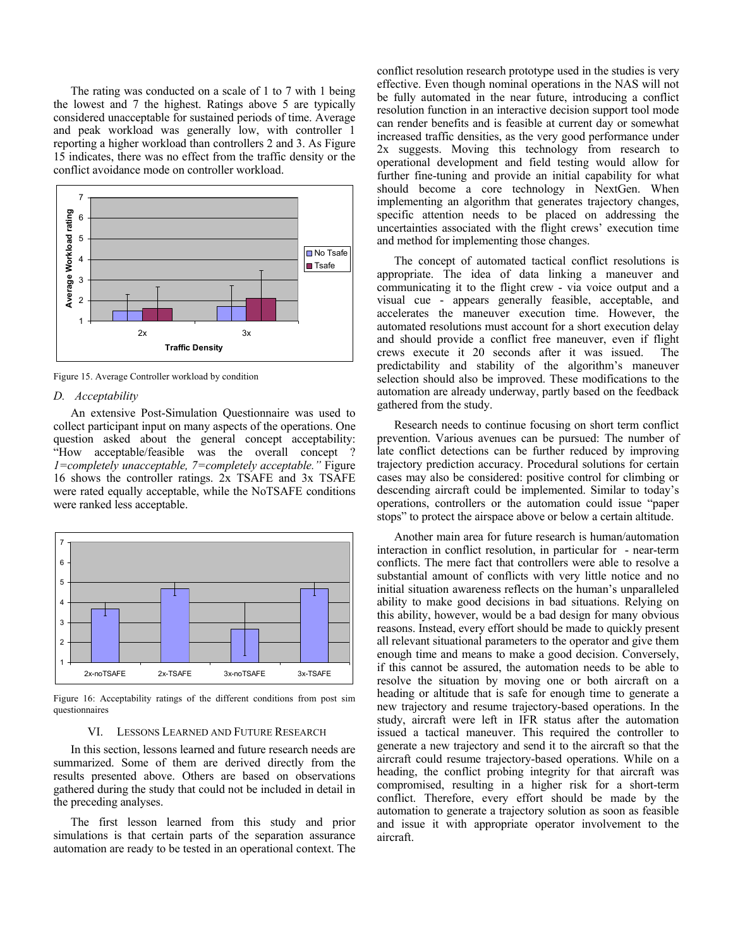The rating was conducted on a scale of 1 to 7 with 1 being the lowest and 7 the highest. Ratings above 5 are typically considered unacceptable for sustained periods of time. Average and peak workload was generally low, with controller 1 reporting a higher workload than controllers 2 and 3. As Figure 15 indicates, there was no effect from the traffic density or the conflict avoidance mode on controller workload.



Figure 15. Average Controller workload by condition

## *D. Acceptability*

An extensive Post-Simulation Questionnaire was used to collect participant input on many aspects of the operations. One question asked about the general concept acceptability: "How acceptable/feasible was the overall concept ? *1=completely unacceptable, 7=completely acceptable."* Figure 16 shows the controller ratings. 2x TSAFE and 3x TSAFE were rated equally acceptable, while the NoTSAFE conditions were ranked less acceptable.



Figure 16: Acceptability ratings of the different conditions from post sim questionnaires

#### VI. LESSONS LEARNED AND FUTURE RESEARCH

In this section, lessons learned and future research needs are summarized. Some of them are derived directly from the results presented above. Others are based on observations gathered during the study that could not be included in detail in the preceding analyses.

The first lesson learned from this study and prior simulations is that certain parts of the separation assurance automation are ready to be tested in an operational context. The

conflict resolution research prototype used in the studies is very effective. Even though nominal operations in the NAS will not be fully automated in the near future, introducing a conflict resolution function in an interactive decision support tool mode can render benefits and is feasible at current day or somewhat increased traffic densities, as the very good performance under 2x suggests. Moving this technology from research to operational development and field testing would allow for further fine-tuning and provide an initial capability for what should become a core technology in NextGen. When implementing an algorithm that generates trajectory changes, specific attention needs to be placed on addressing the uncertainties associated with the flight crews' execution time and method for implementing those changes.

The concept of automated tactical conflict resolutions is appropriate. The idea of data linking a maneuver and communicating it to the flight crew - via voice output and a visual cue - appears generally feasible, acceptable, and accelerates the maneuver execution time. However, the automated resolutions must account for a short execution delay and should provide a conflict free maneuver, even if flight crews execute it 20 seconds after it was issued. The predictability and stability of the algorithm's maneuver selection should also be improved. These modifications to the automation are already underway, partly based on the feedback gathered from the study.

Research needs to continue focusing on short term conflict prevention. Various avenues can be pursued: The number of late conflict detections can be further reduced by improving trajectory prediction accuracy. Procedural solutions for certain cases may also be considered: positive control for climbing or descending aircraft could be implemented. Similar to today's operations, controllers or the automation could issue "paper stops" to protect the airspace above or below a certain altitude.

Another main area for future research is human/automation interaction in conflict resolution, in particular for - near-term conflicts. The mere fact that controllers were able to resolve a substantial amount of conflicts with very little notice and no initial situation awareness reflects on the human's unparalleled ability to make good decisions in bad situations. Relying on this ability, however, would be a bad design for many obvious reasons. Instead, every effort should be made to quickly present all relevant situational parameters to the operator and give them enough time and means to make a good decision. Conversely, if this cannot be assured, the automation needs to be able to resolve the situation by moving one or both aircraft on a heading or altitude that is safe for enough time to generate a new trajectory and resume trajectory-based operations. In the study, aircraft were left in IFR status after the automation issued a tactical maneuver. This required the controller to generate a new trajectory and send it to the aircraft so that the aircraft could resume trajectory-based operations. While on a heading, the conflict probing integrity for that aircraft was compromised, resulting in a higher risk for a short-term conflict. Therefore, every effort should be made by the automation to generate a trajectory solution as soon as feasible and issue it with appropriate operator involvement to the aircraft.